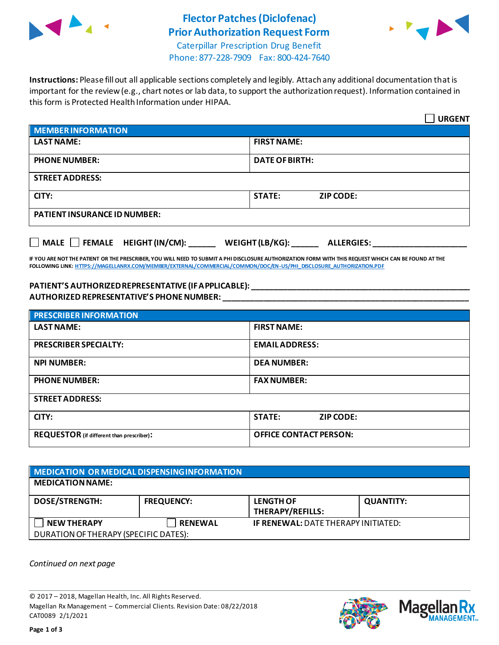

# **Flector Patches(Diclofenac) Prior Authorization Request Form**



Caterpillar Prescription Drug Benefit Phone: 877-228-7909 Fax: 800-424-7640

**Instructions:** Please fill out all applicable sections completely and legibly. Attach any additional documentation that is important for the review (e.g., chart notes or lab data, to support the authorization request). Information contained in this form is Protected Health Information under HIPAA.

|                                                                                   | <b>URGENT</b>                     |  |
|-----------------------------------------------------------------------------------|-----------------------------------|--|
| <b>MEMBER INFORMATION</b>                                                         |                                   |  |
| <b>LAST NAME:</b>                                                                 | <b>FIRST NAME:</b>                |  |
| <b>PHONE NUMBER:</b>                                                              | <b>DATE OF BIRTH:</b>             |  |
| <b>STREET ADDRESS:</b>                                                            |                                   |  |
| CITY:                                                                             | <b>STATE:</b><br><b>ZIP CODE:</b> |  |
| <b>PATIENT INSURANCE ID NUMBER:</b>                                               |                                   |  |
| $\Box$ MALE $\Box$ FEMALE HEIGHT (IN/CM):<br>WEIGHT (LB/KG):<br><b>ALLERGIES:</b> |                                   |  |

**IF YOU ARE NOT THE PATIENT OR THE PRESCRIBER, YOU WILL NEED TO SUBMIT A PHI DISCLOSURE AUTHORIZATION FORM WITH THIS REQUEST WHICH CAN BE FOUND AT THE FOLLOWING LINK[: HTTPS://MAGELLANRX.COM/MEMBER/EXTERNAL/COMMERCIAL/COMMON/DOC/EN-US/PHI\\_DISCLOSURE\\_AUTHORIZATION.PDF](https://magellanrx.com/member/external/commercial/common/doc/en-us/PHI_Disclosure_Authorization.pdf)**

### **PATIENT'S AUTHORIZED REPRESENTATIVE (IF APPLICABLE): \_\_\_\_\_\_\_\_\_\_\_\_\_\_\_\_\_\_\_\_\_\_\_\_\_\_\_\_\_\_\_\_\_\_\_\_\_\_\_\_\_\_\_\_\_\_\_\_\_ AUTHORIZED REPRESENTATIVE'S PHONE NUMBER: \_\_\_\_\_\_\_\_\_\_\_\_\_\_\_\_\_\_\_\_\_\_\_\_\_\_\_\_\_\_\_\_\_\_\_\_\_\_\_\_\_\_\_\_\_\_\_\_\_\_\_\_\_\_\_**

| <b>PRESCRIBER INFORMATION</b>             |                                   |  |
|-------------------------------------------|-----------------------------------|--|
| <b>LAST NAME:</b>                         | <b>FIRST NAME:</b>                |  |
| <b>PRESCRIBER SPECIALTY:</b>              | <b>EMAIL ADDRESS:</b>             |  |
| <b>NPI NUMBER:</b>                        | <b>DEA NUMBER:</b>                |  |
| <b>PHONE NUMBER:</b>                      | <b>FAX NUMBER:</b>                |  |
| <b>STREET ADDRESS:</b>                    |                                   |  |
| CITY:                                     | <b>STATE:</b><br><b>ZIP CODE:</b> |  |
| REQUESTOR (if different than prescriber): | <b>OFFICE CONTACT PERSON:</b>     |  |

## **MEDICATION OR MEDICAL DISPENSING INFORMATION MEDICATION NAME: DOSE/STRENGTH: FREQUENCY: LENGTH OF THERAPY/REFILLS: QUANTITY: NEW THERAPY RENEWAL IF RENEWAL:** DATE THERAPY INITIATED: DURATION OF THERAPY (SPECIFIC DATES):

*Continued on next page*

© 2017 – 2018, Magellan Health, Inc. All Rights Reserved. Magellan Rx Management – Commercial Clients. Revision Date: 08/22/2018 CAT0089 2/1/2021



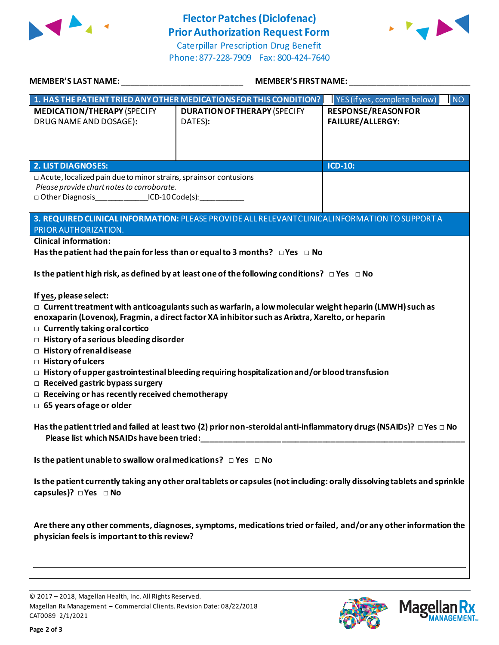

## **Flector Patches(Diclofenac) Prior Authorization Request Form**

Caterpillar Prescription Drug Benefit Phone: 877-228-7909 Fax: 800-424-7640



| <b>MEMBER'S LAST NAME:</b> NAME                                                                                                                                                                                                                                                                                                                                                                                                                                                                                                                                                                                                              | <b>MEMBER'S FIRST NAME:</b>                                                                       |                                                       |
|----------------------------------------------------------------------------------------------------------------------------------------------------------------------------------------------------------------------------------------------------------------------------------------------------------------------------------------------------------------------------------------------------------------------------------------------------------------------------------------------------------------------------------------------------------------------------------------------------------------------------------------------|---------------------------------------------------------------------------------------------------|-------------------------------------------------------|
|                                                                                                                                                                                                                                                                                                                                                                                                                                                                                                                                                                                                                                              | 1. HAS THE PATIENT TRIED ANY OTHER MEDICATIONS FOR THIS CONDITION?   YES (if yes, complete below) | $\blacksquare$ NO                                     |
| <b>MEDICATION/THERAPY (SPECIFY</b><br>DRUG NAME AND DOSAGE):                                                                                                                                                                                                                                                                                                                                                                                                                                                                                                                                                                                 | <b>DURATION OF THERAPY (SPECIFY</b><br>DATES):                                                    | <b>RESPONSE/REASON FOR</b><br><b>FAILURE/ALLERGY:</b> |
| <b>2. LIST DIAGNOSES:</b>                                                                                                                                                                                                                                                                                                                                                                                                                                                                                                                                                                                                                    |                                                                                                   | <b>ICD-10:</b>                                        |
| □ Acute, localized pain due to minor strains, sprains or contusions<br>Please provide chart notes to corroborate.<br>□ Other Diagnosis_______________ICD-10 Code(s):____________                                                                                                                                                                                                                                                                                                                                                                                                                                                             |                                                                                                   |                                                       |
| PRIOR AUTHORIZATION.                                                                                                                                                                                                                                                                                                                                                                                                                                                                                                                                                                                                                         | 3. REQUIRED CLINICAL INFORMATION: PLEASE PROVIDE ALL RELEVANT CLINICAL INFORMATION TO SUPPORT A   |                                                       |
| <b>Clinical information:</b>                                                                                                                                                                                                                                                                                                                                                                                                                                                                                                                                                                                                                 |                                                                                                   |                                                       |
|                                                                                                                                                                                                                                                                                                                                                                                                                                                                                                                                                                                                                                              | Has the patient had the pain for less than or equal to 3 months? $\Box$ Yes $\Box$ No             |                                                       |
| Is the patient high risk, as defined by at least one of the following conditions? $\Box$ Yes $\Box$ No                                                                                                                                                                                                                                                                                                                                                                                                                                                                                                                                       |                                                                                                   |                                                       |
| If yes, please select:<br>$\Box$ Current treatment with anticoagulants such as warfarin, a low molecular weight heparin (LMWH) such as<br>enoxaparin (Lovenox), Fragmin, a direct factor XA inhibitor such as Arixtra, Xarelto, or heparin<br>$\Box$ Currently taking oral cortico<br>$\Box$ History of a serious bleeding disorder<br>□ History of renal disease<br>$\Box$ History of ulcers<br>$\Box$ History of upper gastrointestinal bleeding requiring hospitalization and/or blood transfusion<br>$\Box$ Received gastric bypass surgery<br>$\Box$ Receiving or has recently received chemotherapy<br>$\Box$ 65 years of age or older |                                                                                                   |                                                       |
| Has the patient tried and failed at least two (2) prior non-steroidal anti-inflammatory drugs (NSAIDs)? $\Box$ Yes $\Box$ No                                                                                                                                                                                                                                                                                                                                                                                                                                                                                                                 |                                                                                                   |                                                       |
| Please list which NSAIDs have been tried:                                                                                                                                                                                                                                                                                                                                                                                                                                                                                                                                                                                                    |                                                                                                   |                                                       |
| Is the patient unable to swallow oral medications? $\Box$ Yes $\Box$ No                                                                                                                                                                                                                                                                                                                                                                                                                                                                                                                                                                      |                                                                                                   |                                                       |
| Is the patient currently taking any other oral tablets or capsules (not including: orally dissolving tablets and sprinkle<br>capsules)? $\Box$ Yes $\Box$ No                                                                                                                                                                                                                                                                                                                                                                                                                                                                                 |                                                                                                   |                                                       |
| Are there any other comments, diagnoses, symptoms, medications tried or failed, and/or any other information the<br>physician feels is important to this review?                                                                                                                                                                                                                                                                                                                                                                                                                                                                             |                                                                                                   |                                                       |
|                                                                                                                                                                                                                                                                                                                                                                                                                                                                                                                                                                                                                                              |                                                                                                   |                                                       |

© 2017 – 2018, Magellan Health, Inc. All Rights Reserved. Magellan Rx Management – Commercial Clients. Revision Date: 08/22/2018 CAT0089 2/1/2021